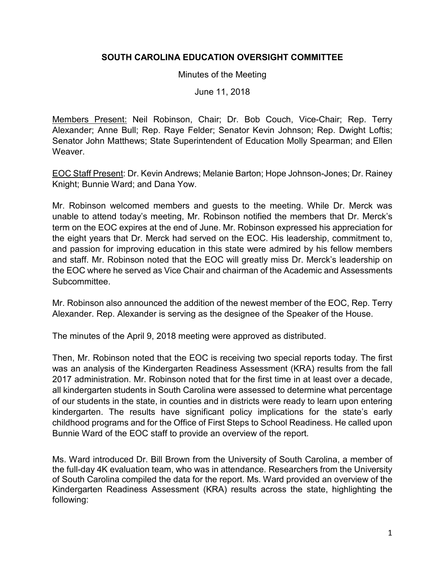## **SOUTH CAROLINA EDUCATION OVERSIGHT COMMITTEE**

## Minutes of the Meeting

June 11, 2018

Members Present: Neil Robinson, Chair; Dr. Bob Couch, Vice-Chair; Rep. Terry Alexander; Anne Bull; Rep. Raye Felder; Senator Kevin Johnson; Rep. Dwight Loftis; Senator John Matthews; State Superintendent of Education Molly Spearman; and Ellen Weaver.

EOC Staff Present: Dr. Kevin Andrews; Melanie Barton; Hope Johnson-Jones; Dr. Rainey Knight; Bunnie Ward; and Dana Yow.

Mr. Robinson welcomed members and guests to the meeting. While Dr. Merck was unable to attend today's meeting, Mr. Robinson notified the members that Dr. Merck's term on the EOC expires at the end of June. Mr. Robinson expressed his appreciation for the eight years that Dr. Merck had served on the EOC. His leadership, commitment to, and passion for improving education in this state were admired by his fellow members and staff. Mr. Robinson noted that the EOC will greatly miss Dr. Merck's leadership on the EOC where he served as Vice Chair and chairman of the Academic and Assessments **Subcommittee.** 

Mr. Robinson also announced the addition of the newest member of the EOC, Rep. Terry Alexander. Rep. Alexander is serving as the designee of the Speaker of the House.

The minutes of the April 9, 2018 meeting were approved as distributed.

Then, Mr. Robinson noted that the EOC is receiving two special reports today. The first was an analysis of the Kindergarten Readiness Assessment (KRA) results from the fall 2017 administration. Mr. Robinson noted that for the first time in at least over a decade, all kindergarten students in South Carolina were assessed to determine what percentage of our students in the state, in counties and in districts were ready to learn upon entering kindergarten. The results have significant policy implications for the state's early childhood programs and for the Office of First Steps to School Readiness. He called upon Bunnie Ward of the EOC staff to provide an overview of the report.

Ms. Ward introduced Dr. Bill Brown from the University of South Carolina, a member of the full-day 4K evaluation team, who was in attendance. Researchers from the University of South Carolina compiled the data for the report. Ms. Ward provided an overview of the Kindergarten Readiness Assessment (KRA) results across the state, highlighting the following: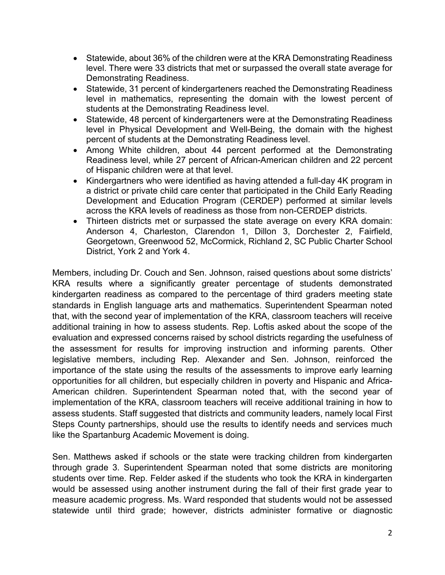- Statewide, about 36% of the children were at the KRA Demonstrating Readiness level. There were 33 districts that met or surpassed the overall state average for Demonstrating Readiness.
- Statewide, 31 percent of kindergarteners reached the Demonstrating Readiness level in mathematics, representing the domain with the lowest percent of students at the Demonstrating Readiness level.
- Statewide, 48 percent of kindergarteners were at the Demonstrating Readiness level in Physical Development and Well-Being, the domain with the highest percent of students at the Demonstrating Readiness level.
- Among White children, about 44 percent performed at the Demonstrating Readiness level, while 27 percent of African-American children and 22 percent of Hispanic children were at that level.
- Kindergartners who were identified as having attended a full-day 4K program in a district or private child care center that participated in the Child Early Reading Development and Education Program (CERDEP) performed at similar levels across the KRA levels of readiness as those from non-CERDEP districts.
- Thirteen districts met or surpassed the state average on every KRA domain: Anderson 4, Charleston, Clarendon 1, Dillon 3, Dorchester 2, Fairfield, Georgetown, Greenwood 52, McCormick, Richland 2, SC Public Charter School District, York 2 and York 4.

Members, including Dr. Couch and Sen. Johnson, raised questions about some districts' KRA results where a significantly greater percentage of students demonstrated kindergarten readiness as compared to the percentage of third graders meeting state standards in English language arts and mathematics. Superintendent Spearman noted that, with the second year of implementation of the KRA, classroom teachers will receive additional training in how to assess students. Rep. Loftis asked about the scope of the evaluation and expressed concerns raised by school districts regarding the usefulness of the assessment for results for improving instruction and informing parents. Other legislative members, including Rep. Alexander and Sen. Johnson, reinforced the importance of the state using the results of the assessments to improve early learning opportunities for all children, but especially children in poverty and Hispanic and Africa-American children. Superintendent Spearman noted that, with the second year of implementation of the KRA, classroom teachers will receive additional training in how to assess students. Staff suggested that districts and community leaders, namely local First Steps County partnerships, should use the results to identify needs and services much like the Spartanburg Academic Movement is doing.

Sen. Matthews asked if schools or the state were tracking children from kindergarten through grade 3. Superintendent Spearman noted that some districts are monitoring students over time. Rep. Felder asked if the students who took the KRA in kindergarten would be assessed using another instrument during the fall of their first grade year to measure academic progress. Ms. Ward responded that students would not be assessed statewide until third grade; however, districts administer formative or diagnostic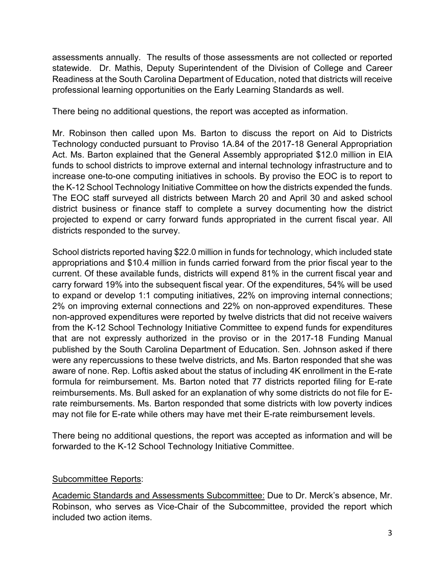assessments annually. The results of those assessments are not collected or reported statewide. Dr. Mathis, Deputy Superintendent of the Division of College and Career Readiness at the South Carolina Department of Education, noted that districts will receive professional learning opportunities on the Early Learning Standards as well.

There being no additional questions, the report was accepted as information.

Mr. Robinson then called upon Ms. Barton to discuss the report on Aid to Districts Technology conducted pursuant to Proviso 1A.84 of the 2017-18 General Appropriation Act. Ms. Barton explained that the General Assembly appropriated \$12.0 million in EIA funds to school districts to improve external and internal technology infrastructure and to increase one-to-one computing initiatives in schools. By proviso the EOC is to report to the K-12 School Technology Initiative Committee on how the districts expended the funds. The EOC staff surveyed all districts between March 20 and April 30 and asked school district business or finance staff to complete a survey documenting how the district projected to expend or carry forward funds appropriated in the current fiscal year. All districts responded to the survey.

School districts reported having \$22.0 million in funds for technology, which included state appropriations and \$10.4 million in funds carried forward from the prior fiscal year to the current. Of these available funds, districts will expend 81% in the current fiscal year and carry forward 19% into the subsequent fiscal year. Of the expenditures, 54% will be used to expand or develop 1:1 computing initiatives, 22% on improving internal connections; 2% on improving external connections and 22% on non-approved expenditures. These non-approved expenditures were reported by twelve districts that did not receive waivers from the K-12 School Technology Initiative Committee to expend funds for expenditures that are not expressly authorized in the proviso or in the 2017-18 Funding Manual published by the South Carolina Department of Education. Sen. Johnson asked if there were any repercussions to these twelve districts, and Ms. Barton responded that she was aware of none. Rep. Loftis asked about the status of including 4K enrollment in the E-rate formula for reimbursement. Ms. Barton noted that 77 districts reported filing for E-rate reimbursements. Ms. Bull asked for an explanation of why some districts do not file for Erate reimbursements. Ms. Barton responded that some districts with low poverty indices may not file for E-rate while others may have met their E-rate reimbursement levels.

There being no additional questions, the report was accepted as information and will be forwarded to the K-12 School Technology Initiative Committee.

## Subcommittee Reports:

Academic Standards and Assessments Subcommittee: Due to Dr. Merck's absence, Mr. Robinson, who serves as Vice-Chair of the Subcommittee, provided the report which included two action items.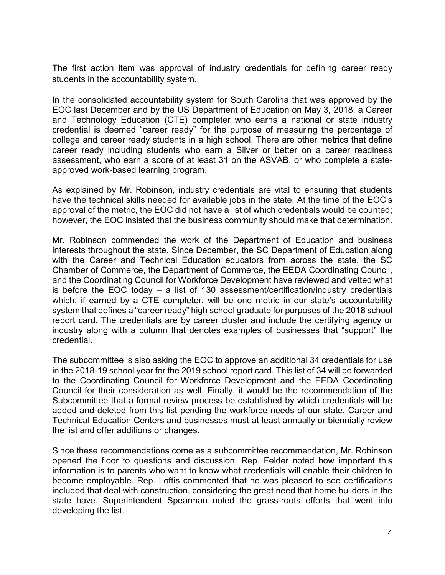The first action item was approval of industry credentials for defining career ready students in the accountability system.

In the consolidated accountability system for South Carolina that was approved by the EOC last December and by the US Department of Education on May 3, 2018, a Career and Technology Education (CTE) completer who earns a national or state industry credential is deemed "career ready" for the purpose of measuring the percentage of college and career ready students in a high school. There are other metrics that define career ready including students who earn a Silver or better on a career readiness assessment, who earn a score of at least 31 on the ASVAB, or who complete a stateapproved work-based learning program.

As explained by Mr. Robinson, industry credentials are vital to ensuring that students have the technical skills needed for available jobs in the state. At the time of the EOC's approval of the metric, the EOC did not have a list of which credentials would be counted; however, the EOC insisted that the business community should make that determination.

Mr. Robinson commended the work of the Department of Education and business interests throughout the state. Since December, the SC Department of Education along with the Career and Technical Education educators from across the state, the SC Chamber of Commerce, the Department of Commerce, the EEDA Coordinating Council, and the Coordinating Council for Workforce Development have reviewed and vetted what is before the EOC today – a list of 130 assessment/certification/industry credentials which, if earned by a CTE completer, will be one metric in our state's accountability system that defines a "career ready" high school graduate for purposes of the 2018 school report card. The credentials are by career cluster and include the certifying agency or industry along with a column that denotes examples of businesses that "support" the credential.

The subcommittee is also asking the EOC to approve an additional 34 credentials for use in the 2018-19 school year for the 2019 school report card. This list of 34 will be forwarded to the Coordinating Council for Workforce Development and the EEDA Coordinating Council for their consideration as well. Finally, it would be the recommendation of the Subcommittee that a formal review process be established by which credentials will be added and deleted from this list pending the workforce needs of our state. Career and Technical Education Centers and businesses must at least annually or biennially review the list and offer additions or changes.

Since these recommendations come as a subcommittee recommendation, Mr. Robinson opened the floor to questions and discussion. Rep. Felder noted how important this information is to parents who want to know what credentials will enable their children to become employable. Rep. Loftis commented that he was pleased to see certifications included that deal with construction, considering the great need that home builders in the state have. Superintendent Spearman noted the grass-roots efforts that went into developing the list.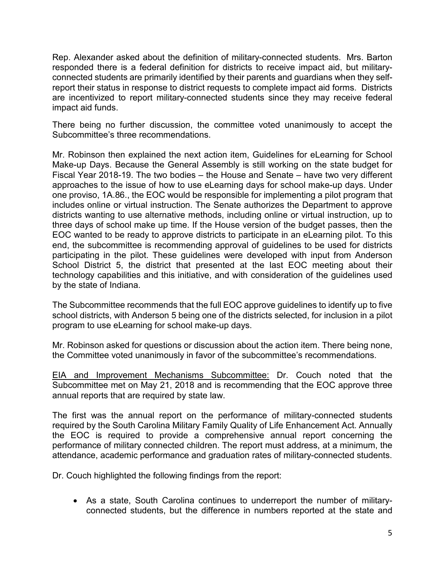Rep. Alexander asked about the definition of military-connected students. Mrs. Barton responded there is a federal definition for districts to receive impact aid, but militaryconnected students are primarily identified by their parents and guardians when they selfreport their status in response to district requests to complete impact aid forms. Districts are incentivized to report military-connected students since they may receive federal impact aid funds.

There being no further discussion, the committee voted unanimously to accept the Subcommittee's three recommendations.

Mr. Robinson then explained the next action item, Guidelines for eLearning for School Make-up Days. Because the General Assembly is still working on the state budget for Fiscal Year 2018-19. The two bodies – the House and Senate – have two very different approaches to the issue of how to use eLearning days for school make-up days. Under one proviso, 1A.86., the EOC would be responsible for implementing a pilot program that includes online or virtual instruction. The Senate authorizes the Department to approve districts wanting to use alternative methods, including online or virtual instruction, up to three days of school make up time. If the House version of the budget passes, then the EOC wanted to be ready to approve districts to participate in an eLearning pilot. To this end, the subcommittee is recommending approval of guidelines to be used for districts participating in the pilot. These guidelines were developed with input from Anderson School District 5, the district that presented at the last EOC meeting about their technology capabilities and this initiative, and with consideration of the guidelines used by the state of Indiana.

The Subcommittee recommends that the full EOC approve guidelines to identify up to five school districts, with Anderson 5 being one of the districts selected, for inclusion in a pilot program to use eLearning for school make-up days.

Mr. Robinson asked for questions or discussion about the action item. There being none, the Committee voted unanimously in favor of the subcommittee's recommendations.

EIA and Improvement Mechanisms Subcommittee: Dr. Couch noted that the Subcommittee met on May 21, 2018 and is recommending that the EOC approve three annual reports that are required by state law.

The first was the annual report on the performance of military-connected students required by the South Carolina Military Family Quality of Life Enhancement Act. Annually the EOC is required to provide a comprehensive annual report concerning the performance of military connected children. The report must address, at a minimum, the attendance, academic performance and graduation rates of military-connected students.

Dr. Couch highlighted the following findings from the report:

• As a state, South Carolina continues to underreport the number of militaryconnected students, but the difference in numbers reported at the state and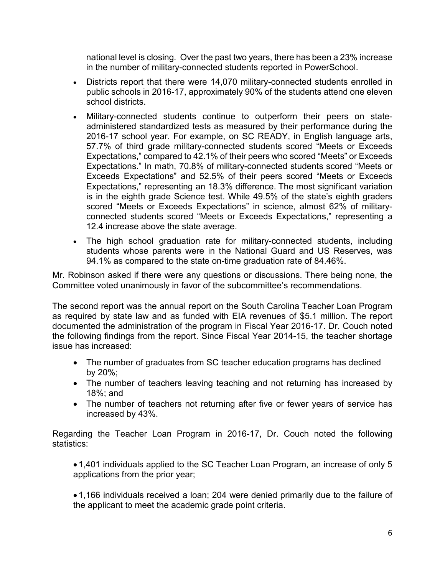national level is closing. Over the past two years, there has been a 23% increase in the number of military-connected students reported in PowerSchool.

- Districts report that there were 14,070 military-connected students enrolled in public schools in 2016-17, approximately 90% of the students attend one eleven school districts.
- Military-connected students continue to outperform their peers on stateadministered standardized tests as measured by their performance during the 2016-17 school year. For example, on SC READY, in English language arts, 57.7% of third grade military-connected students scored "Meets or Exceeds Expectations," compared to 42.1% of their peers who scored "Meets" or Exceeds Expectations." In math, 70.8% of military-connected students scored "Meets or Exceeds Expectations" and 52.5% of their peers scored "Meets or Exceeds Expectations," representing an 18.3% difference. The most significant variation is in the eighth grade Science test. While 49.5% of the state's eighth graders scored "Meets or Exceeds Expectations" in science, almost 62% of militaryconnected students scored "Meets or Exceeds Expectations," representing a 12.4 increase above the state average.
- The high school graduation rate for military-connected students, including students whose parents were in the National Guard and US Reserves, was 94.1% as compared to the state on-time graduation rate of 84.46%.

Mr. Robinson asked if there were any questions or discussions. There being none, the Committee voted unanimously in favor of the subcommittee's recommendations.

The second report was the annual report on the South Carolina Teacher Loan Program as required by state law and as funded with EIA revenues of \$5.1 million. The report documented the administration of the program in Fiscal Year 2016-17. Dr. Couch noted the following findings from the report. Since Fiscal Year 2014-15, the teacher shortage issue has increased:

- The number of graduates from SC teacher education programs has declined by 20%;
- The number of teachers leaving teaching and not returning has increased by 18%; and
- The number of teachers not returning after five or fewer years of service has increased by 43%.

Regarding the Teacher Loan Program in 2016-17, Dr. Couch noted the following statistics:

• 1,401 individuals applied to the SC Teacher Loan Program, an increase of only 5 applications from the prior year;

• 1,166 individuals received a loan; 204 were denied primarily due to the failure of the applicant to meet the academic grade point criteria.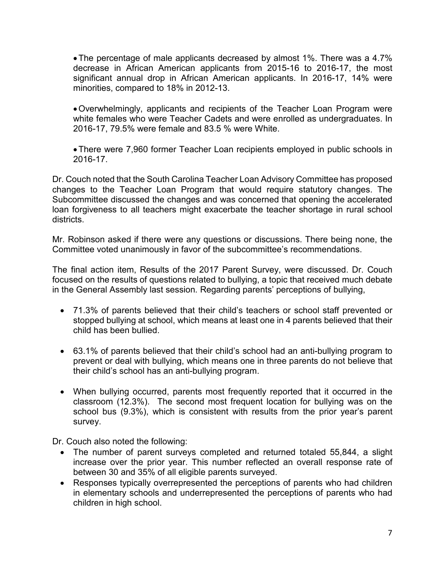•The percentage of male applicants decreased by almost 1%. There was a 4.7% decrease in African American applicants from 2015-16 to 2016-17, the most significant annual drop in African American applicants. In 2016-17, 14% were minorities, compared to 18% in 2012-13.

- •Overwhelmingly, applicants and recipients of the Teacher Loan Program were white females who were Teacher Cadets and were enrolled as undergraduates. In 2016-17, 79.5% were female and 83.5 % were White.
- •There were 7,960 former Teacher Loan recipients employed in public schools in 2016-17.

Dr. Couch noted that the South Carolina Teacher Loan Advisory Committee has proposed changes to the Teacher Loan Program that would require statutory changes. The Subcommittee discussed the changes and was concerned that opening the accelerated loan forgiveness to all teachers might exacerbate the teacher shortage in rural school districts.

Mr. Robinson asked if there were any questions or discussions. There being none, the Committee voted unanimously in favor of the subcommittee's recommendations.

The final action item, Results of the 2017 Parent Survey, were discussed. Dr. Couch focused on the results of questions related to bullying, a topic that received much debate in the General Assembly last session*.* Regarding parents' perceptions of bullying,

- 71.3% of parents believed that their child's teachers or school staff prevented or stopped bullying at school, which means at least one in 4 parents believed that their child has been bullied.
- 63.1% of parents believed that their child's school had an anti-bullying program to prevent or deal with bullying, which means one in three parents do not believe that their child's school has an anti-bullying program.
- When bullying occurred, parents most frequently reported that it occurred in the classroom (12.3%). The second most frequent location for bullying was on the school bus (9.3%), which is consistent with results from the prior year's parent survey.

Dr. Couch also noted the following:

- The number of parent surveys completed and returned totaled 55,844, a slight increase over the prior year. This number reflected an overall response rate of between 30 and 35% of all eligible parents surveyed.
- Responses typically overrepresented the perceptions of parents who had children in elementary schools and underrepresented the perceptions of parents who had children in high school.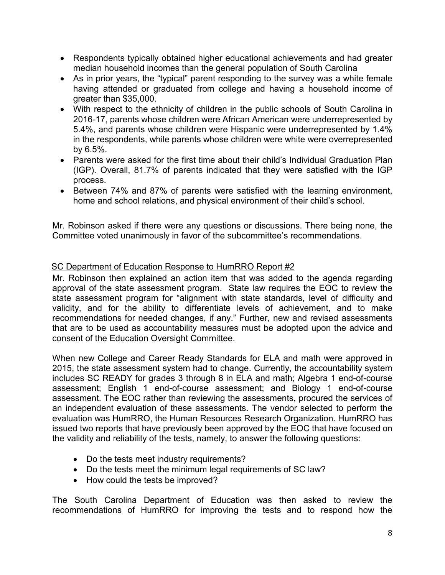- Respondents typically obtained higher educational achievements and had greater median household incomes than the general population of South Carolina
- As in prior years, the "typical" parent responding to the survey was a white female having attended or graduated from college and having a household income of greater than \$35,000.
- With respect to the ethnicity of children in the public schools of South Carolina in 2016-17, parents whose children were African American were underrepresented by 5.4%, and parents whose children were Hispanic were underrepresented by 1.4% in the respondents, while parents whose children were white were overrepresented by 6.5%.
- Parents were asked for the first time about their child's Individual Graduation Plan (IGP). Overall, 81.7% of parents indicated that they were satisfied with the IGP process.
- Between 74% and 87% of parents were satisfied with the learning environment, home and school relations, and physical environment of their child's school.

Mr. Robinson asked if there were any questions or discussions. There being none, the Committee voted unanimously in favor of the subcommittee's recommendations.

## SC Department of Education Response to HumRRO Report #2

Mr. Robinson then explained an action item that was added to the agenda regarding approval of the state assessment program. State law requires the EOC to review the state assessment program for "alignment with state standards, level of difficulty and validity, and for the ability to differentiate levels of achievement, and to make recommendations for needed changes, if any." Further, new and revised assessments that are to be used as accountability measures must be adopted upon the advice and consent of the Education Oversight Committee.

When new College and Career Ready Standards for ELA and math were approved in 2015, the state assessment system had to change. Currently, the accountability system includes SC READY for grades 3 through 8 in ELA and math; Algebra 1 end-of-course assessment; English 1 end-of-course assessment; and Biology 1 end-of-course assessment. The EOC rather than reviewing the assessments, procured the services of an independent evaluation of these assessments. The vendor selected to perform the evaluation was HumRRO, the Human Resources Research Organization. HumRRO has issued two reports that have previously been approved by the EOC that have focused on the validity and reliability of the tests, namely, to answer the following questions:

- Do the tests meet industry requirements?
- Do the tests meet the minimum legal requirements of SC law?
- How could the tests be improved?

The South Carolina Department of Education was then asked to review the recommendations of HumRRO for improving the tests and to respond how the